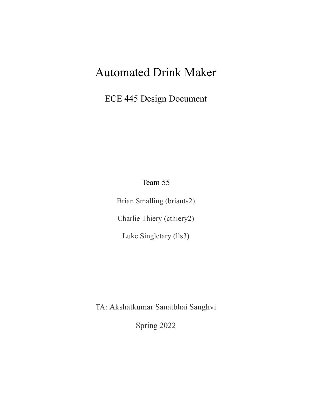# Automated Drink Maker

ECE 445 Design Document

Team 55

Brian Smalling (briants2) Charlie Thiery (cthiery2) Luke Singletary (lls3)

TA: Akshatkumar Sanatbhai Sanghvi

Spring 2022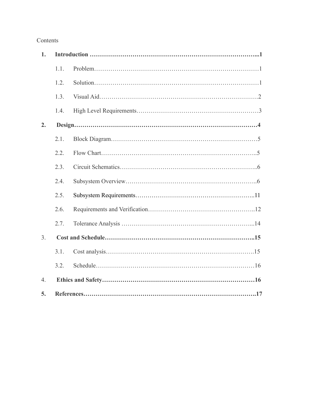# Contents

| 1.               |      |  |  |
|------------------|------|--|--|
|                  | 1.1. |  |  |
|                  | 1.2. |  |  |
|                  | 1.3. |  |  |
|                  | 1.4. |  |  |
| 2.               |      |  |  |
|                  | 2.1. |  |  |
|                  | 2.2. |  |  |
|                  | 2.3. |  |  |
|                  | 2.4. |  |  |
|                  | 2.5. |  |  |
|                  | 2.6. |  |  |
|                  | 2.7. |  |  |
| 3 <sub>1</sub>   |      |  |  |
|                  | 3.1. |  |  |
|                  | 3.2. |  |  |
| $\overline{4}$ . |      |  |  |
| 5.               |      |  |  |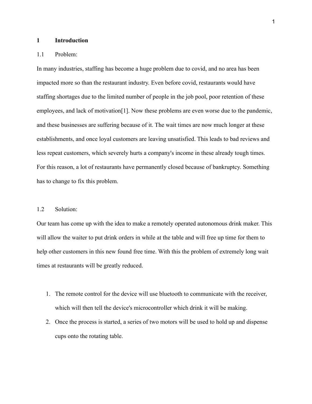#### **1 Introduction**

#### 1.1 Problem:

In many industries, staffing has become a huge problem due to covid, and no area has been impacted more so than the restaurant industry. Even before covid, restaurants would have staffing shortages due to the limited number of people in the job pool, poor retention of these employees, and lack of motivation<sup>[1]</sup>. Now these problems are even worse due to the pandemic, and these businesses are suffering because of it. The wait times are now much longer at these establishments, and once loyal customers are leaving unsatisfied. This leads to bad reviews and less repeat customers, which severely hurts a company's income in these already tough times. For this reason, a lot of restaurants have permanently closed because of bankruptcy. Something has to change to fix this problem.

## 1.2 Solution:

Our team has come up with the idea to make a remotely operated autonomous drink maker. This will allow the waiter to put drink orders in while at the table and will free up time for them to help other customers in this new found free time. With this the problem of extremely long wait times at restaurants will be greatly reduced.

- 1. The remote control for the device will use bluetooth to communicate with the receiver, which will then tell the device's microcontroller which drink it will be making.
- 2. Once the process is started, a series of two motors will be used to hold up and dispense cups onto the rotating table.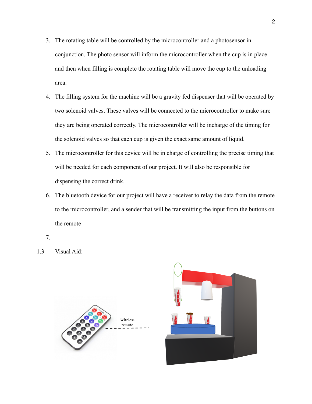- 3. The rotating table will be controlled by the microcontroller and a photosensor in conjunction. The photo sensor will inform the microcontroller when the cup is in place and then when filling is complete the rotating table will move the cup to the unloading area.
- 4. The filling system for the machine will be a gravity fed dispenser that will be operated by two solenoid valves. These valves will be connected to the microcontroller to make sure they are being operated correctly. The microcontroller will be incharge of the timing for the solenoid valves so that each cup is given the exact same amount of liquid.
- 5. The microcontroller for this device will be in charge of controlling the precise timing that will be needed for each component of our project. It will also be responsible for dispensing the correct drink.
- 6. The bluetooth device for our project will have a receiver to relay the data from the remote to the microcontroller, and a sender that will be transmitting the input from the buttons on the remote
- 7.
- 1.3 Visual Aid:



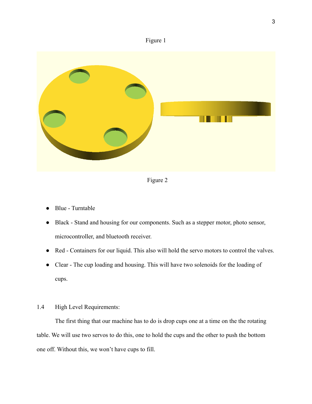



Figure 2

- Blue Turntable
- Black Stand and housing for our components. Such as a stepper motor, photo sensor, microcontroller, and bluetooth receiver.
- Red Containers for our liquid. This also will hold the servo motors to control the valves.
- Clear The cup loading and housing. This will have two solenoids for the loading of cups.
- 1.4 High Level Requirements:

The first thing that our machine has to do is drop cups one at a time on the the rotating table. We will use two servos to do this, one to hold the cups and the other to push the bottom one off. Without this, we won't have cups to fill.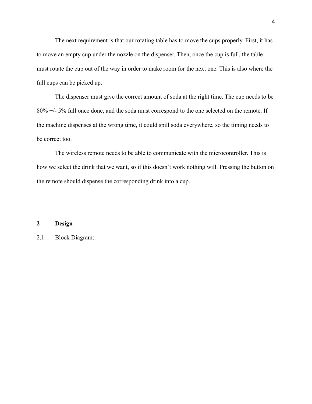The next requirement is that our rotating table has to move the cups properly. First, it has to move an empty cup under the nozzle on the dispenser. Then, once the cup is full, the table must rotate the cup out of the way in order to make room for the next one. This is also where the full cups can be picked up.

The dispenser must give the correct amount of soda at the right time. The cup needs to be 80% +/- 5% full once done, and the soda must correspond to the one selected on the remote. If the machine dispenses at the wrong time, it could spill soda everywhere, so the timing needs to be correct too.

The wireless remote needs to be able to communicate with the microcontroller. This is how we select the drink that we want, so if this doesn't work nothing will. Pressing the button on the remote should dispense the corresponding drink into a cup.

## **2 Design**

2.1 Block Diagram: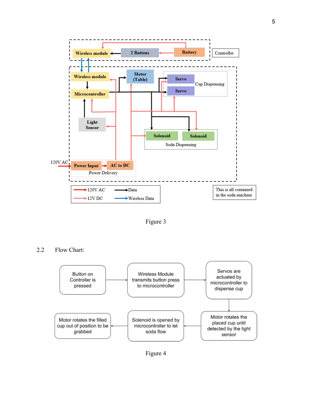

Figure 3

2.2 Flow Chart:



Figure 4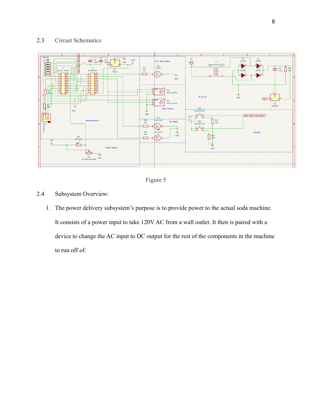# 2.3 Circuit Schematics





- 2.4 Subsystem Overview:
	- 1. The power delivery subsystem's purpose is to provide power to the actual soda machine. It consists of a power input to take 120V AC from a wall outlet. It then is paired with a device to change the AC input to DC output for the rest of the components in the machine to run off of.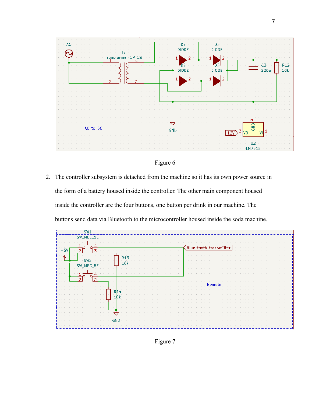

## Figure 6

2. The controller subsystem is detached from the machine so it has its own power source in the form of a battery housed inside the controller. The other main component housed inside the controller are the four buttons, one button per drink in our machine. The buttons send data via Bluetooth to the microcontroller housed inside the soda machine.



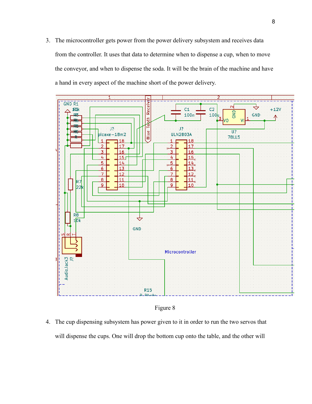3. The microcontroller gets power from the power delivery subsystem and receives data from the controller. It uses that data to determine when to dispense a cup, when to move the conveyor, and when to dispense the soda. It will be the brain of the machine and have a hand in every aspect of the machine short of the power delivery.



Figure 8

4. The cup dispensing subsystem has power given to it in order to run the two servos that will dispense the cups. One will drop the bottom cup onto the table, and the other will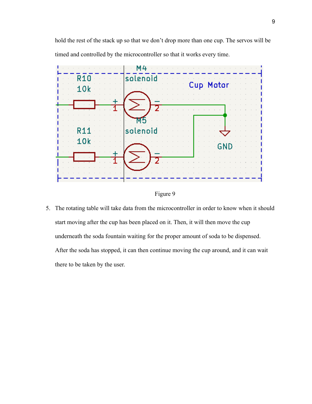hold the rest of the stack up so that we don't drop more than one cup. The servos will be timed and controlled by the microcontroller so that it works every time.



Figure 9

5. The rotating table will take data from the microcontroller in order to know when it should start moving after the cup has been placed on it. Then, it will then move the cup underneath the soda fountain waiting for the proper amount of soda to be dispensed. After the soda has stopped, it can then continue moving the cup around, and it can wait there to be taken by the user.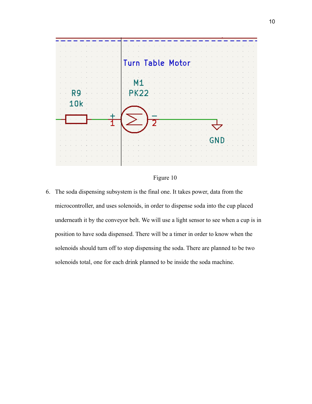

## Figure 10

6. The soda dispensing subsystem is the final one. It takes power, data from the microcontroller, and uses solenoids, in order to dispense soda into the cup placed underneath it by the conveyor belt. We will use a light sensor to see when a cup is in position to have soda dispensed. There will be a timer in order to know when the solenoids should turn off to stop dispensing the soda. There are planned to be two solenoids total, one for each drink planned to be inside the soda machine.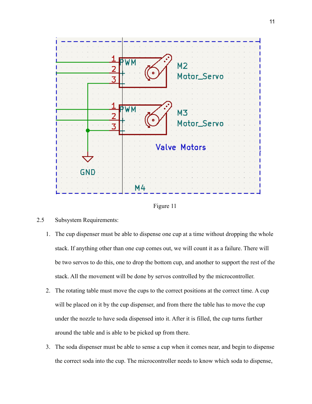



## 2.5 Subsystem Requirements:

- 1. The cup dispenser must be able to dispense one cup at a time without dropping the whole stack. If anything other than one cup comes out, we will count it as a failure. There will be two servos to do this, one to drop the bottom cup, and another to support the rest of the stack. All the movement will be done by servos controlled by the microcontroller.
- 2. The rotating table must move the cups to the correct positions at the correct time. A cup will be placed on it by the cup dispenser, and from there the table has to move the cup under the nozzle to have soda dispensed into it. After it is filled, the cup turns further around the table and is able to be picked up from there.
- 3. The soda dispenser must be able to sense a cup when it comes near, and begin to dispense the correct soda into the cup. The microcontroller needs to know which soda to dispense,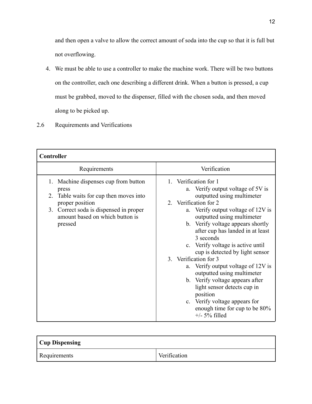and then open a valve to allow the correct amount of soda into the cup so that it is full but not overflowing.

- 4. We must be able to use a controller to make the machine work. There will be two buttons on the controller, each one describing a different drink. When a button is pressed, a cup must be grabbed, moved to the dispenser, filled with the chosen soda, and then moved along to be picked up.
- 2.6 Requirements and Verifications

| Controller                                                                                                                                                                                                  |                                                                                                                                                                                                                                                                                                                                                                                                                                                                                                                                                                                                                     |  |  |  |
|-------------------------------------------------------------------------------------------------------------------------------------------------------------------------------------------------------------|---------------------------------------------------------------------------------------------------------------------------------------------------------------------------------------------------------------------------------------------------------------------------------------------------------------------------------------------------------------------------------------------------------------------------------------------------------------------------------------------------------------------------------------------------------------------------------------------------------------------|--|--|--|
| Requirements                                                                                                                                                                                                | Verification                                                                                                                                                                                                                                                                                                                                                                                                                                                                                                                                                                                                        |  |  |  |
| Machine dispenses cup from button<br>1.<br>press<br>Table waits for cup then moves into<br>2.<br>proper position<br>Correct soda is dispensed in proper<br>3.<br>amount based on which button is<br>pressed | 1. Verification for 1<br>a. Verify output voltage of 5V is<br>outputted using multimeter<br>2. Verification for 2<br>a. Verify output voltage of 12V is<br>outputted using multimeter<br>b. Verify voltage appears shortly<br>after cup has landed in at least<br>3 seconds<br>c. Verify voltage is active until<br>cup is detected by light sensor<br>3. Verification for 3<br>a. Verify output voltage of 12V is<br>outputted using multimeter<br>b. Verify voltage appears after<br>light sensor detects cup in<br>position<br>c. Verify voltage appears for<br>enough time for cup to be 80%<br>$+/-$ 5% filled |  |  |  |

| <b>Cup Dispensing</b> |              |  |
|-----------------------|--------------|--|
| Requirements          | Verification |  |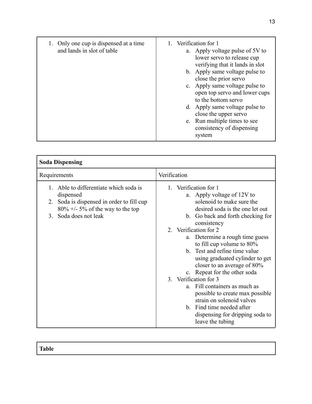| 1. Only one cup is dispensed at a time<br>and lands in slot of table | 1. Verification for 1<br>a. Apply voltage pulse of 5V to<br>lower servo to release cup<br>verifying that it lands in slot<br>b. Apply same voltage pulse to<br>close the prior servo<br>c. Apply same voltage pulse to<br>open top servo and lower cups<br>to the bottom servo<br>d. Apply same voltage pulse to<br>close the upper servo<br>e. Run multiple times to see<br>consistency of dispensing<br>system |
|----------------------------------------------------------------------|------------------------------------------------------------------------------------------------------------------------------------------------------------------------------------------------------------------------------------------------------------------------------------------------------------------------------------------------------------------------------------------------------------------|
|----------------------------------------------------------------------|------------------------------------------------------------------------------------------------------------------------------------------------------------------------------------------------------------------------------------------------------------------------------------------------------------------------------------------------------------------------------------------------------------------|

| <b>Soda Dispensing</b>                                                                                                                                                               |                                                                                                                                                                                                                                                                                                                                                                                                                                                                                                                                                                                                                                  |  |  |  |
|--------------------------------------------------------------------------------------------------------------------------------------------------------------------------------------|----------------------------------------------------------------------------------------------------------------------------------------------------------------------------------------------------------------------------------------------------------------------------------------------------------------------------------------------------------------------------------------------------------------------------------------------------------------------------------------------------------------------------------------------------------------------------------------------------------------------------------|--|--|--|
| Requirements                                                                                                                                                                         | Verification                                                                                                                                                                                                                                                                                                                                                                                                                                                                                                                                                                                                                     |  |  |  |
| Able to differentiate which soda is<br>1.<br>dispensed<br>Soda is dispensed in order to fill cup<br>2.<br>$80\% +1.5\%$ of the way to the top<br>Soda does not leak<br>$\mathcal{E}$ | 1. Verification for 1<br>a. Apply voltage of 12V to<br>solenoid to make sure the<br>desired soda is the one let out<br>b. Go back and forth checking for<br>consistency<br>2. Verification for 2<br>a. Determine a rough time guess<br>to fill cup volume to $80\%$<br>Test and refine time value<br>$h_{\cdot}$<br>using graduated cylinder to get<br>closer to an average of 80%<br>c. Repeat for the other soda<br>3. Verification for 3<br>a. Fill containers as much as<br>possible to create max possible<br>strain on solenoid valves<br>b. Find time needed after<br>dispensing for dripping soda to<br>leave the tubing |  |  |  |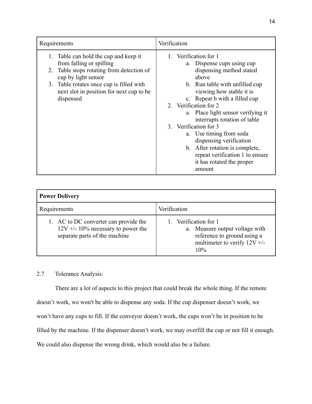| Requirements                              | Verification                       |
|-------------------------------------------|------------------------------------|
| Table can hold the cup and keep it<br>1.  | 1. Verification for 1              |
| from falling or spilling                  | a. Dispense cups using cup         |
| 2. Table stops rotating from detection of | dispensing method stated           |
| cup by light sensor                       | above                              |
| 3. Table rotates once cup is filled with  | b. Run table with unfilled cup     |
| next slot in position for next cup to be  | viewing how stable it is           |
| dispensed                                 | c. Repeat b with a filled cup      |
|                                           | 2. Verification for 2              |
|                                           | a. Place light sensor verifying it |
|                                           | interrupts rotation of table       |
|                                           | 3. Verification for 3              |
|                                           | a. Use timing from soda            |
|                                           | dispensing verification            |
|                                           | b. After rotation is complete,     |
|                                           | repeat verification 1 to ensure    |
|                                           | it has rotated the proper          |
|                                           | amount                             |

| <b>Power Delivery</b>                                                                                         |                                                                                                                               |  |
|---------------------------------------------------------------------------------------------------------------|-------------------------------------------------------------------------------------------------------------------------------|--|
| Requirements                                                                                                  | Verification                                                                                                                  |  |
| 1. AC to DC converter can provide the<br>$12V + 10\%$ necessary to power the<br>separate parts of the machine | Verification for 1<br>a. Measure output voltage with<br>reference to ground using a<br>multimeter to verify $12V +$ /-<br>10% |  |

# 2.7 Tolerance Analysis:

There are a lot of aspects to this project that could break the whole thing. If the remote doesn't work, we won't be able to dispense any soda. If the cup dispenser doesn't work, we won't have any cups to fill. If the conveyor doesn't work, the cups won't be in position to be filled by the machine. If the dispenser doesn't work, we may overfill the cup or not fill it enough. We could also dispense the wrong drink, which would also be a failure.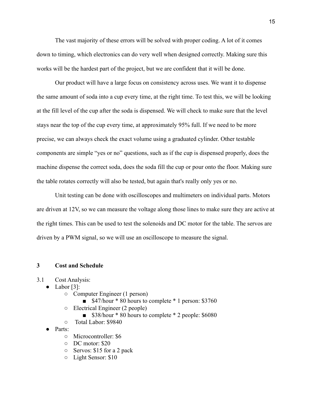The vast majority of these errors will be solved with proper coding. A lot of it comes down to timing, which electronics can do very well when designed correctly. Making sure this works will be the hardest part of the project, but we are confident that it will be done.

Our product will have a large focus on consistency across uses. We want it to dispense the same amount of soda into a cup every time, at the right time. To test this, we will be looking at the fill level of the cup after the soda is dispensed. We will check to make sure that the level stays near the top of the cup every time, at approximately 95% full. If we need to be more precise, we can always check the exact volume using a graduated cylinder. Other testable components are simple "yes or no" questions, such as if the cup is dispensed properly, does the machine dispense the correct soda, does the soda fill the cup or pour onto the floor. Making sure the table rotates correctly will also be tested, but again that's really only yes or no.

Unit testing can be done with oscilloscopes and multimeters on individual parts. Motors are driven at 12V, so we can measure the voltage along those lines to make sure they are active at the right times. This can be used to test the solenoids and DC motor for the table. The servos are driven by a PWM signal, so we will use an oscilloscope to measure the signal.

#### **3 Cost and Schedule**

- 3.1 Cost Analysis:
	- $\bullet$  Labor [3]:
		- Computer Engineer (1 person)
			- \$47/hour \* 80 hours to complete \* 1 person: \$3760
		- Electrical Engineer (2 people)
			- \$38/hour \* 80 hours to complete \* 2 people: \$6080
		- Total Labor: \$9840
	- Parts:
		- Microcontroller: \$6
		- DC motor: \$20
		- Servos: \$15 for a 2 pack
		- Light Sensor: \$10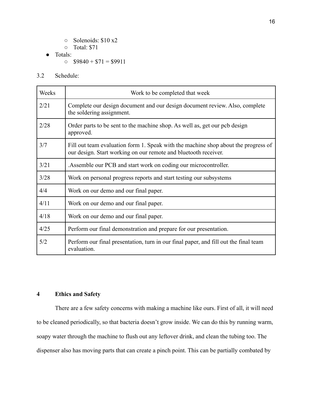- Solenoids: \$10 x2
- Total: \$71
- Totals:
	- $\circ$  \$9840 + \$71 = \$9911
- 3.2 Schedule:

| Weeks | Work to be completed that week                                                                                                                        |
|-------|-------------------------------------------------------------------------------------------------------------------------------------------------------|
| 2/21  | Complete our design document and our design document review. Also, complete<br>the soldering assignment.                                              |
| 2/28  | Order parts to be sent to the machine shop. As well as, get our pcb design<br>approved.                                                               |
| 3/7   | Fill out team evaluation form 1. Speak with the machine shop about the progress of<br>our design. Start working on our remote and bluetooth receiver. |
| 3/21  | Assemble our PCB and start work on coding our microcontroller.                                                                                        |
| 3/28  | Work on personal progress reports and start testing our subsystems                                                                                    |
| 4/4   | Work on our demo and our final paper.                                                                                                                 |
| 4/11  | Work on our demo and our final paper.                                                                                                                 |
| 4/18  | Work on our demo and our final paper.                                                                                                                 |
| 4/25  | Perform our final demonstration and prepare for our presentation.                                                                                     |
| 5/2   | Perform our final presentation, turn in our final paper, and fill out the final team<br>evaluation.                                                   |

## **4 Ethics and Safety**

There are a few safety concerns with making a machine like ours. First of all, it will need to be cleaned periodically, so that bacteria doesn't grow inside. We can do this by running warm, soapy water through the machine to flush out any leftover drink, and clean the tubing too. The dispenser also has moving parts that can create a pinch point. This can be partially combated by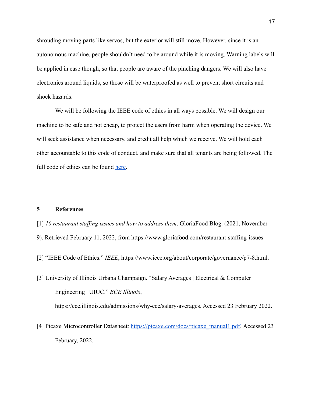shrouding moving parts like servos, but the exterior will still move. However, since it is an autonomous machine, people shouldn't need to be around while it is moving. Warning labels will be applied in case though, so that people are aware of the pinching dangers. We will also have electronics around liquids, so those will be waterproofed as well to prevent short circuits and shock hazards.

We will be following the IEEE code of ethics in all ways possible. We will design our machine to be safe and not cheap, to protect the users from harm when operating the device. We will seek assistance when necessary, and credit all help which we receive. We will hold each other accountable to this code of conduct, and make sure that all tenants are being followed. The full code of ethics can be found [here.](https://www.ieee.org/about/corporate/governance/p7-8.html)

## **5 References**

[1] *10 restaurant staffing issues and how to address them*. GloriaFood Blog. (2021, November

- 9). Retrieved February 11, 2022, from https://www.gloriafood.com/restaurant-staffing-issues
- [2] "IEEE Code of Ethics." *IEEE*, https://www.ieee.org/about/corporate/governance/p7-8.html.
- [3] University of Illinois Urbana Champaign. "Salary Averages | Electrical & Computer Engineering | UIUC." *ECE Illinois*, https://ece.illinois.edu/admissions/why-ece/salary-averages. Accessed 23 February 2022.
- [4] Picaxe Microcontroller Datasheet: [https://picaxe.com/docs/picaxe\\_manual1.pdf](https://picaxe.com/docs/picaxe_manual1.pdf). Accessed 23 February, 2022.